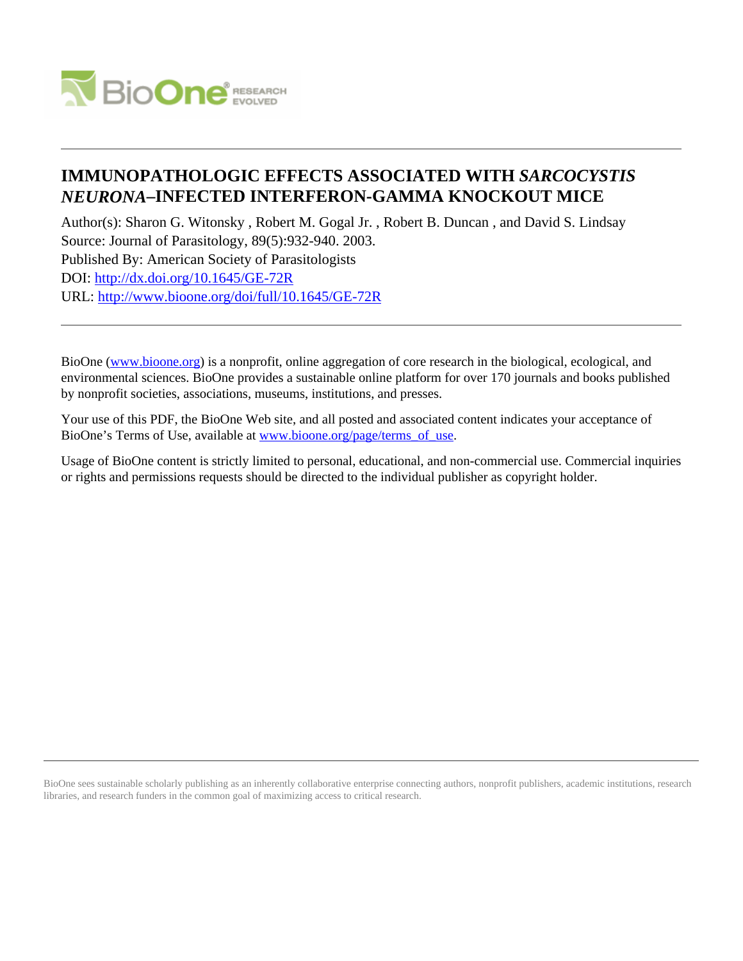

# **IMMUNOPATHOLOGIC EFFECTS ASSOCIATED WITH** *SARCOCYSTIS NEURONA***–INFECTED INTERFERON-GAMMA KNOCKOUT MICE**

Author(s): Sharon G. Witonsky , Robert M. Gogal Jr. , Robert B. Duncan , and David S. Lindsay Source: Journal of Parasitology, 89(5):932-940. 2003. Published By: American Society of Parasitologists DOI:<http://dx.doi.org/10.1645/GE-72R> URL: <http://www.bioone.org/doi/full/10.1645/GE-72R>

BioOne [\(www.bioone.org\)](http://www.bioone.org) is a nonprofit, online aggregation of core research in the biological, ecological, and environmental sciences. BioOne provides a sustainable online platform for over 170 journals and books published by nonprofit societies, associations, museums, institutions, and presses.

Your use of this PDF, the BioOne Web site, and all posted and associated content indicates your acceptance of BioOne's Terms of Use, available at [www.bioone.org/page/terms\\_of\\_use.](http://www.bioone.org/page/terms_of_use)

Usage of BioOne content is strictly limited to personal, educational, and non-commercial use. Commercial inquiries or rights and permissions requests should be directed to the individual publisher as copyright holder.

BioOne sees sustainable scholarly publishing as an inherently collaborative enterprise connecting authors, nonprofit publishers, academic institutions, research libraries, and research funders in the common goal of maximizing access to critical research.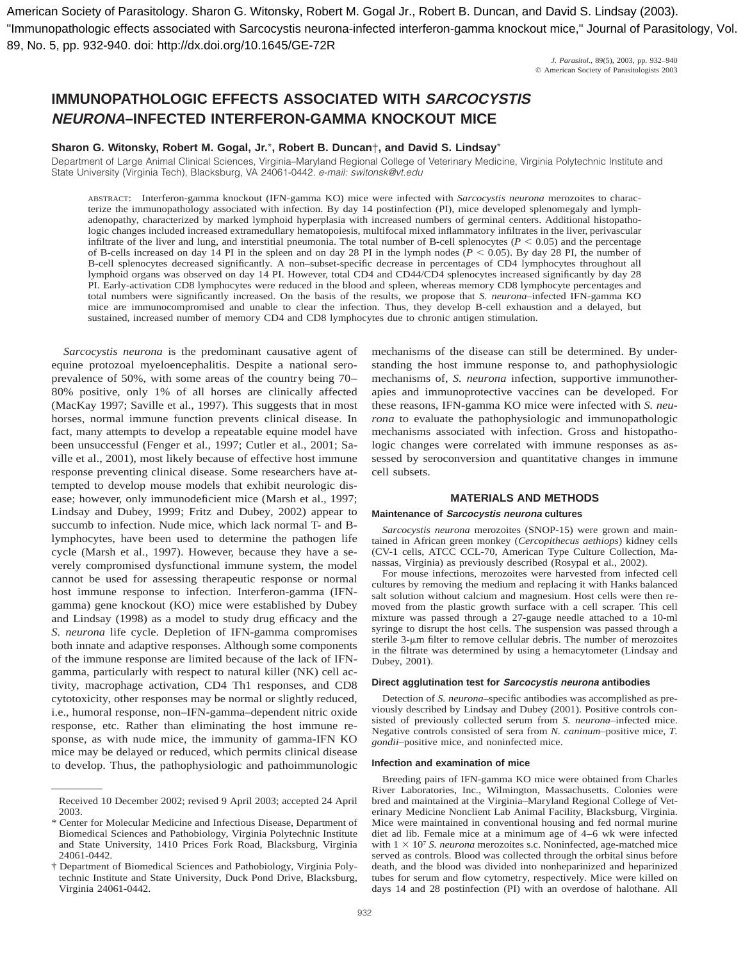American Society of Parasitology. Sharon G. Witonsky, Robert M. Gogal Jr., Robert B. Duncan, and David S. Lindsay (2003). "Immunopathologic effects associated with Sarcocystis neurona-infected interferon-gamma knockout mice," Journal of Parasitology, Vol. 89, No. 5, pp. 932-940. doi: http://dx.doi.org/10.1645/GE-72R

> *J. Parasitol.,* 89(5), 2003, pp. 932–940  $©$  American Society of Parasitologists 2003

## **IMMUNOPATHOLOGIC EFFECTS ASSOCIATED WITH SARCOCYSTIS NEURONA–INFECTED INTERFERON-GAMMA KNOCKOUT MICE**

## **Sharon G. Witonsky, Robert M. Gogal, Jr.**\***, Robert B. Duncan**†**, and David S. Lindsay**\*

Department of Large Animal Clinical Sciences, Virginia–Maryland Regional College of Veterinary Medicine, Virginia Polytechnic Institute and State University (Virginia Tech), Blacksburg, VA 24061-0442. e-mail: switonsk@vt.edu

ABSTRACT: Interferon-gamma knockout (IFN-gamma KO) mice were infected with *Sarcocystis neurona* merozoites to characterize the immunopathology associated with infection. By day 14 postinfection (PI), mice developed splenomegaly and lymphadenopathy, characterized by marked lymphoid hyperplasia with increased numbers of germinal centers. Additional histopathologic changes included increased extramedullary hematopoiesis, multifocal mixed inflammatory infiltrates in the liver, perivascular infiltrate of the liver and lung, and interstitial pneumonia. The total number of B-cell splenocytes ( $P < 0.05$ ) and the percentage of B-cells increased on day 14 PI in the spleen and on day 28 PI in the lymph nodes  $(P < 0.05)$ . By day 28 PI, the number of B-cell splenocytes decreased significantly. A non–subset-specific decrease in percentages of CD4 lymphocytes throughout all lymphoid organs was observed on day 14 PI. However, total CD4 and CD44/CD4 splenocytes increased significantly by day 28 PI. Early-activation CD8 lymphocytes were reduced in the blood and spleen, whereas memory CD8 lymphocyte percentages and total numbers were significantly increased. On the basis of the results, we propose that *S. neurona*–infected IFN-gamma KO mice are immunocompromised and unable to clear the infection. Thus, they develop B-cell exhaustion and a delayed, but sustained, increased number of memory CD4 and CD8 lymphocytes due to chronic antigen stimulation.

*Sarcocystis neurona* is the predominant causative agent of equine protozoal myeloencephalitis. Despite a national seroprevalence of 50%, with some areas of the country being 70– 80% positive, only 1% of all horses are clinically affected (MacKay 1997; Saville et al., 1997). This suggests that in most horses, normal immune function prevents clinical disease. In fact, many attempts to develop a repeatable equine model have been unsuccessful (Fenger et al., 1997; Cutler et al., 2001; Saville et al., 2001), most likely because of effective host immune response preventing clinical disease. Some researchers have attempted to develop mouse models that exhibit neurologic disease; however, only immunodeficient mice (Marsh et al., 1997; Lindsay and Dubey, 1999; Fritz and Dubey, 2002) appear to succumb to infection. Nude mice, which lack normal T- and Blymphocytes, have been used to determine the pathogen life cycle (Marsh et al., 1997). However, because they have a severely compromised dysfunctional immune system, the model cannot be used for assessing therapeutic response or normal host immune response to infection. Interferon-gamma (IFNgamma) gene knockout (KO) mice were established by Dubey and Lindsay (1998) as a model to study drug efficacy and the *S. neurona* life cycle. Depletion of IFN-gamma compromises both innate and adaptive responses. Although some components of the immune response are limited because of the lack of IFNgamma, particularly with respect to natural killer (NK) cell activity, macrophage activation, CD4 Th1 responses, and CD8 cytotoxicity, other responses may be normal or slightly reduced, i.e., humoral response, non–IFN-gamma–dependent nitric oxide response, etc. Rather than eliminating the host immune response, as with nude mice, the immunity of gamma-IFN KO mice may be delayed or reduced, which permits clinical disease to develop. Thus, the pathophysiologic and pathoimmunologic mechanisms of the disease can still be determined. By understanding the host immune response to, and pathophysiologic mechanisms of, *S. neurona* infection, supportive immunotherapies and immunoprotective vaccines can be developed. For these reasons, IFN-gamma KO mice were infected with *S. neurona* to evaluate the pathophysiologic and immunopathologic mechanisms associated with infection. Gross and histopathologic changes were correlated with immune responses as assessed by seroconversion and quantitative changes in immune cell subsets.

## **MATERIALS AND METHODS**

#### **Maintenance of Sarcocystis neurona cultures**

*Sarcocystis neurona* merozoites (SNOP-15) were grown and maintained in African green monkey (*Cercopithecus aethiops*) kidney cells (CV-1 cells, ATCC CCL-70, American Type Culture Collection, Manassas, Virginia) as previously described (Rosypal et al., 2002).

For mouse infections, merozoites were harvested from infected cell cultures by removing the medium and replacing it with Hanks balanced salt solution without calcium and magnesium. Host cells were then removed from the plastic growth surface with a cell scraper. This cell mixture was passed through a 27-gauge needle attached to a 10-ml syringe to disrupt the host cells. The suspension was passed through a sterile 3-µm filter to remove cellular debris. The number of merozoites in the filtrate was determined by using a hemacytometer (Lindsay and Dubey, 2001).

#### **Direct agglutination test for Sarcocystis neurona antibodies**

Detection of *S. neurona*–specific antibodies was accomplished as previously described by Lindsay and Dubey (2001). Positive controls consisted of previously collected serum from *S. neurona*–infected mice. Negative controls consisted of sera from *N. caninum*–positive mice, *T. gondii*–positive mice, and noninfected mice.

#### **Infection and examination of mice**

Breeding pairs of IFN-gamma KO mice were obtained from Charles River Laboratories, Inc., Wilmington, Massachusetts. Colonies were bred and maintained at the Virginia–Maryland Regional College of Veterinary Medicine Nonclient Lab Animal Facility, Blacksburg, Virginia. Mice were maintained in conventional housing and fed normal murine diet ad lib. Female mice at a minimum age of 4–6 wk were infected with  $1 \times 10^7$  *S. neurona* merozoites s.c. Noninfected, age-matched mice served as controls. Blood was collected through the orbital sinus before death, and the blood was divided into nonheparinized and heparinized tubes for serum and flow cytometry, respectively. Mice were killed on days 14 and 28 postinfection (PI) with an overdose of halothane. All

Received 10 December 2002; revised 9 April 2003; accepted 24 April 2003.

<sup>\*</sup> Center for Molecular Medicine and Infectious Disease, Department of Biomedical Sciences and Pathobiology, Virginia Polytechnic Institute and State University, 1410 Prices Fork Road, Blacksburg, Virginia 24061-0442.

<sup>†</sup> Department of Biomedical Sciences and Pathobiology, Virginia Polytechnic Institute and State University, Duck Pond Drive, Blacksburg, Virginia 24061-0442.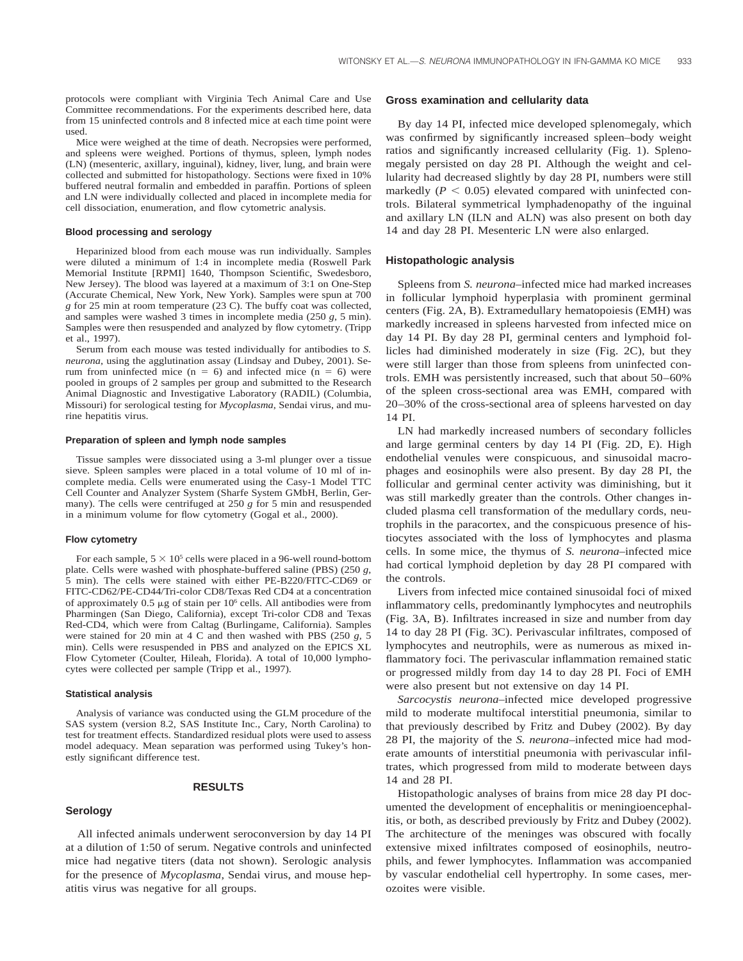protocols were compliant with Virginia Tech Animal Care and Use Committee recommendations. For the experiments described here, data from 15 uninfected controls and 8 infected mice at each time point were used.

Mice were weighed at the time of death. Necropsies were performed, and spleens were weighed. Portions of thymus, spleen, lymph nodes (LN) (mesenteric, axillary, inguinal), kidney, liver, lung, and brain were collected and submitted for histopathology. Sections were fixed in 10% buffered neutral formalin and embedded in paraffin. Portions of spleen and LN were individually collected and placed in incomplete media for cell dissociation, enumeration, and flow cytometric analysis.

#### **Blood processing and serology**

Heparinized blood from each mouse was run individually. Samples were diluted a minimum of 1:4 in incomplete media (Roswell Park Memorial Institute [RPMI] 1640, Thompson Scientific, Swedesboro, New Jersey). The blood was layered at a maximum of 3:1 on One-Step (Accurate Chemical, New York, New York). Samples were spun at 700 *g* for 25 min at room temperature (23 C). The buffy coat was collected, and samples were washed 3 times in incomplete media (250 *g*, 5 min). Samples were then resuspended and analyzed by flow cytometry. (Tripp et al., 1997).

Serum from each mouse was tested individually for antibodies to *S. neurona*, using the agglutination assay (Lindsay and Dubey, 2001). Serum from uninfected mice  $(n = 6)$  and infected mice  $(n = 6)$  were pooled in groups of 2 samples per group and submitted to the Research Animal Diagnostic and Investigative Laboratory (RADIL) (Columbia, Missouri) for serological testing for *Mycoplasma*, Sendai virus, and murine hepatitis virus.

#### **Preparation of spleen and lymph node samples**

Tissue samples were dissociated using a 3-ml plunger over a tissue sieve. Spleen samples were placed in a total volume of 10 ml of incomplete media. Cells were enumerated using the Casy-1 Model TTC Cell Counter and Analyzer System (Sharfe System GMbH, Berlin, Germany). The cells were centrifuged at 250 *g* for 5 min and resuspended in a minimum volume for flow cytometry (Gogal et al., 2000).

#### **Flow cytometry**

For each sample,  $5 \times 10^5$  cells were placed in a 96-well round-bottom plate. Cells were washed with phosphate-buffered saline (PBS) (250 *g*, 5 min). The cells were stained with either PE-B220/FITC-CD69 or FITC-CD62/PE-CD44/Tri-color CD8/Texas Red CD4 at a concentration of approximately 0.5  $\mu$ g of stain per 10<sup>6</sup> cells. All antibodies were from Pharmingen (San Diego, California), except Tri-color CD8 and Texas Red-CD4, which were from Caltag (Burlingame, California). Samples were stained for 20 min at 4 C and then washed with PBS (250 *g,* 5 min). Cells were resuspended in PBS and analyzed on the EPICS XL Flow Cytometer (Coulter, Hileah, Florida). A total of 10,000 lymphocytes were collected per sample (Tripp et al., 1997).

#### **Statistical analysis**

Analysis of variance was conducted using the GLM procedure of the SAS system (version 8.2, SAS Institute Inc., Cary, North Carolina) to test for treatment effects. Standardized residual plots were used to assess model adequacy. Mean separation was performed using Tukey's honestly significant difference test.

#### **RESULTS**

#### **Serology**

All infected animals underwent seroconversion by day 14 PI at a dilution of 1:50 of serum. Negative controls and uninfected mice had negative titers (data not shown). Serologic analysis for the presence of *Mycoplasma*, Sendai virus, and mouse hepatitis virus was negative for all groups.

#### **Gross examination and cellularity data**

By day 14 PI, infected mice developed splenomegaly, which was confirmed by significantly increased spleen–body weight ratios and significantly increased cellularity (Fig. 1). Splenomegaly persisted on day 28 PI. Although the weight and cellularity had decreased slightly by day 28 PI, numbers were still markedly ( $P < 0.05$ ) elevated compared with uninfected controls. Bilateral symmetrical lymphadenopathy of the inguinal and axillary LN (ILN and ALN) was also present on both day 14 and day 28 PI. Mesenteric LN were also enlarged.

#### **Histopathologic analysis**

Spleens from *S. neurona*–infected mice had marked increases in follicular lymphoid hyperplasia with prominent germinal centers (Fig. 2A, B). Extramedullary hematopoiesis (EMH) was markedly increased in spleens harvested from infected mice on day 14 PI. By day 28 PI, germinal centers and lymphoid follicles had diminished moderately in size (Fig. 2C), but they were still larger than those from spleens from uninfected controls. EMH was persistently increased, such that about 50–60% of the spleen cross-sectional area was EMH, compared with 20–30% of the cross-sectional area of spleens harvested on day 14 PI.

LN had markedly increased numbers of secondary follicles and large germinal centers by day 14 PI (Fig. 2D, E). High endothelial venules were conspicuous, and sinusoidal macrophages and eosinophils were also present. By day 28 PI, the follicular and germinal center activity was diminishing, but it was still markedly greater than the controls. Other changes included plasma cell transformation of the medullary cords, neutrophils in the paracortex, and the conspicuous presence of histiocytes associated with the loss of lymphocytes and plasma cells. In some mice, the thymus of *S. neurona*–infected mice had cortical lymphoid depletion by day 28 PI compared with the controls.

Livers from infected mice contained sinusoidal foci of mixed inflammatory cells, predominantly lymphocytes and neutrophils (Fig. 3A, B). Infiltrates increased in size and number from day 14 to day 28 PI (Fig. 3C). Perivascular infiltrates, composed of lymphocytes and neutrophils, were as numerous as mixed inflammatory foci. The perivascular inflammation remained static or progressed mildly from day 14 to day 28 PI. Foci of EMH were also present but not extensive on day 14 PI.

*Sarcocystis neurona*–infected mice developed progressive mild to moderate multifocal interstitial pneumonia, similar to that previously described by Fritz and Dubey (2002). By day 28 PI, the majority of the *S. neurona*–infected mice had moderate amounts of interstitial pneumonia with perivascular infiltrates, which progressed from mild to moderate between days 14 and 28 PI.

Histopathologic analyses of brains from mice 28 day PI documented the development of encephalitis or meningioencephalitis, or both, as described previously by Fritz and Dubey (2002). The architecture of the meninges was obscured with focally extensive mixed infiltrates composed of eosinophils, neutrophils, and fewer lymphocytes. Inflammation was accompanied by vascular endothelial cell hypertrophy. In some cases, merozoites were visible.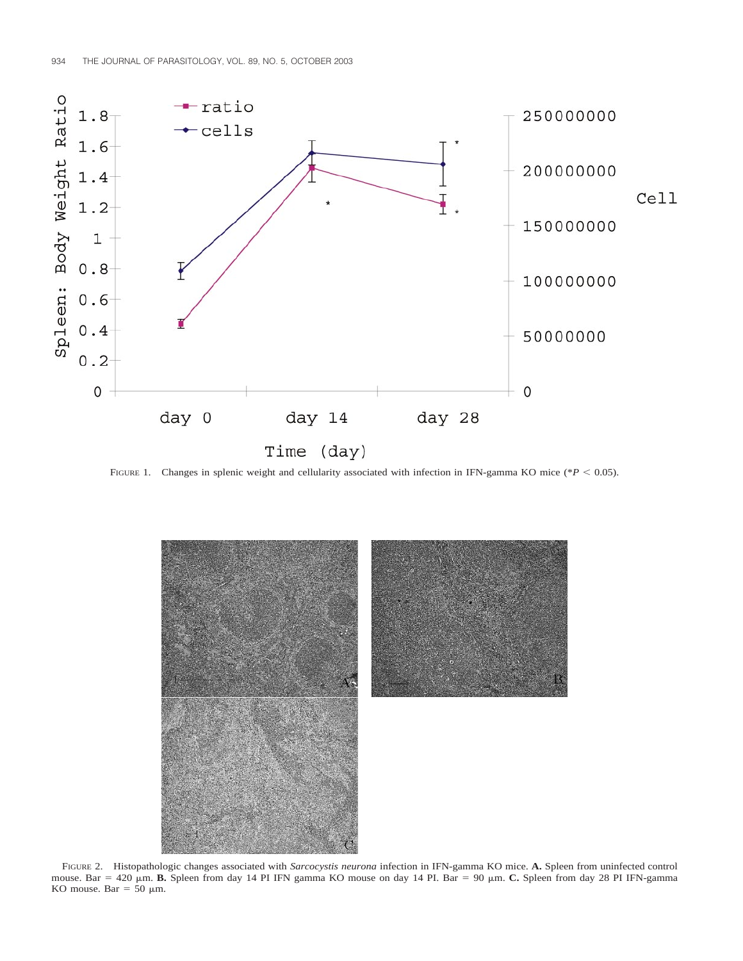

FIGURE 1. Changes in splenic weight and cellularity associated with infection in IFN-gamma KO mice (\* $P < 0.05$ ).



FIGURE 2. Histopathologic changes associated with *Sarcocystis neurona* infection in IFN-gamma KO mice. **A.** Spleen from uninfected control mouse. Bar = 420  $\mu$ m. **B.** Spleen from day 14 PI IFN gamma KO mouse on day 14 PI. Bar = 90  $\mu$ m. **C.** Spleen from day 28 PI IFN-gamma KO mouse. Bar = 50  $\mu$ m.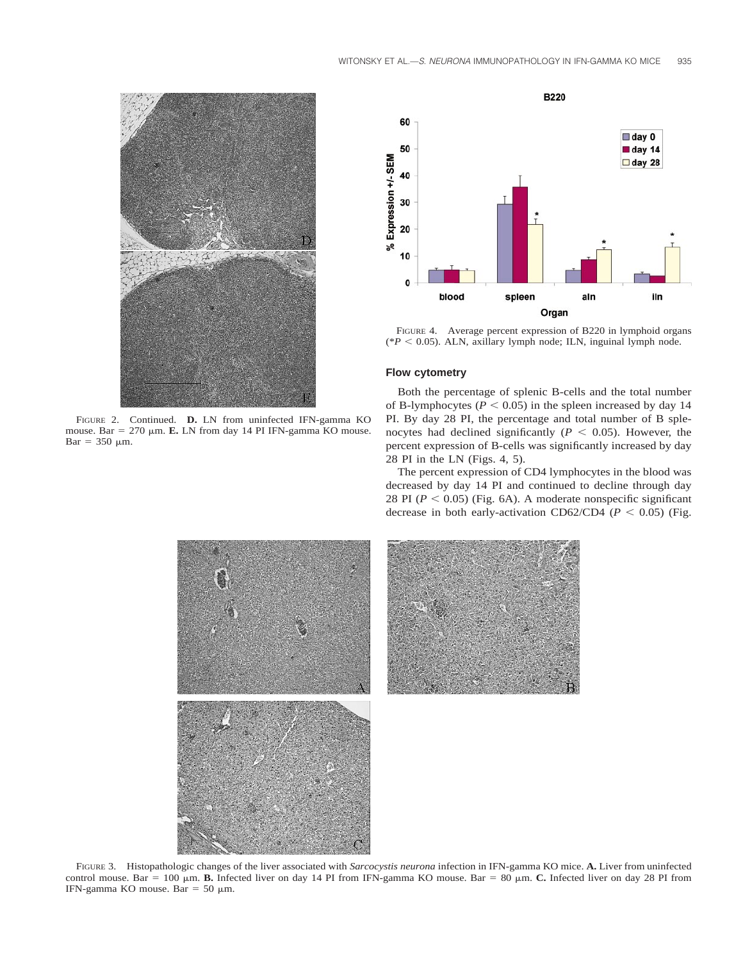

FIGURE 2. Continued. **D.** LN from uninfected IFN-gamma KO mouse. Bar =  $270 \mu m$ . **E.** LN from day 14 PI IFN-gamma KO mouse.  $Bar = 350 \mu m$ .



FIGURE 4. Average percent expression of B220 in lymphoid organs ( $*P < 0.05$ ). ALN, axillary lymph node; ILN, inguinal lymph node.

## **Flow cytometry**

Both the percentage of splenic B-cells and the total number of B-lymphocytes ( $P < 0.05$ ) in the spleen increased by day 14 PI. By day 28 PI, the percentage and total number of B splenocytes had declined significantly ( $P < 0.05$ ). However, the percent expression of B-cells was significantly increased by day 28 PI in the LN (Figs. 4, 5).

The percent expression of CD4 lymphocytes in the blood was decreased by day 14 PI and continued to decline through day 28 PI  $(P < 0.05)$  (Fig. 6A). A moderate nonspecific significant decrease in both early-activation CD62/CD4 ( $P < 0.05$ ) (Fig.



FIGURE 3. Histopathologic changes of the liver associated with *Sarcocystis neurona* infection in IFN-gamma KO mice. **A.** Liver from uninfected control mouse. Bar =  $100 \mu m$ . **B.** Infected liver on day 14 PI from IFN-gamma KO mouse. Bar =  $80 \mu m$ . **C.** Infected liver on day 28 PI from IFN-gamma KO mouse. Bar = 50  $\mu$ m.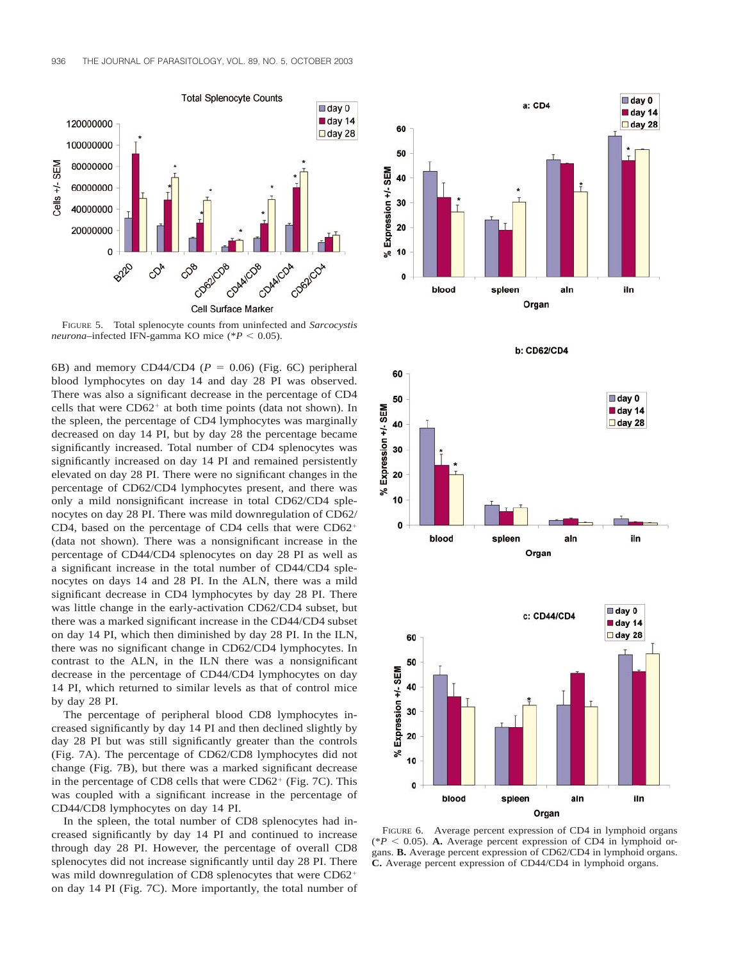

FIGURE 5. Total splenocyte counts from uninfected and *Sarcocystis neurona*–infected IFN-gamma KO mice (\* $P < 0.05$ ).

6B) and memory CD44/CD4 ( $P = 0.06$ ) (Fig. 6C) peripheral blood lymphocytes on day 14 and day 28 PI was observed. There was also a significant decrease in the percentage of CD4 cells that were  $CD62<sup>+</sup>$  at both time points (data not shown). In the spleen, the percentage of CD4 lymphocytes was marginally decreased on day 14 PI, but by day 28 the percentage became significantly increased. Total number of CD4 splenocytes was significantly increased on day 14 PI and remained persistently elevated on day 28 PI. There were no significant changes in the percentage of CD62/CD4 lymphocytes present, and there was only a mild nonsignificant increase in total CD62/CD4 splenocytes on day 28 PI. There was mild downregulation of CD62/ CD4, based on the percentage of CD4 cells that were  $CD62<sup>+</sup>$ (data not shown). There was a nonsignificant increase in the percentage of CD44/CD4 splenocytes on day 28 PI as well as a significant increase in the total number of CD44/CD4 splenocytes on days 14 and 28 PI. In the ALN, there was a mild significant decrease in CD4 lymphocytes by day 28 PI. There was little change in the early-activation CD62/CD4 subset, but there was a marked significant increase in the CD44/CD4 subset on day 14 PI, which then diminished by day 28 PI. In the ILN, there was no significant change in CD62/CD4 lymphocytes. In contrast to the ALN, in the ILN there was a nonsignificant decrease in the percentage of CD44/CD4 lymphocytes on day 14 PI, which returned to similar levels as that of control mice by day 28 PI.

The percentage of peripheral blood CD8 lymphocytes increased significantly by day 14 PI and then declined slightly by day 28 PI but was still significantly greater than the controls (Fig. 7A). The percentage of CD62/CD8 lymphocytes did not change (Fig. 7B), but there was a marked significant decrease in the percentage of CD8 cells that were  $CD62<sup>+</sup>$  (Fig. 7C). This was coupled with a significant increase in the percentage of CD44/CD8 lymphocytes on day 14 PI.

In the spleen, the total number of CD8 splenocytes had increased significantly by day 14 PI and continued to increase through day 28 PI. However, the percentage of overall CD8 splenocytes did not increase significantly until day 28 PI. There was mild downregulation of CD8 splenocytes that were CD62<sup>+</sup> on day 14 PI (Fig. 7C). More importantly, the total number of



**b: CD62/CD4** 





FIGURE 6. Average percent expression of CD4 in lymphoid organs ( $*P < 0.05$ ). **A.** Average percent expression of CD4 in lymphoid organs. **B.** Average percent expression of CD62/CD4 in lymphoid organs. **C.** Average percent expression of CD44/CD4 in lymphoid organs.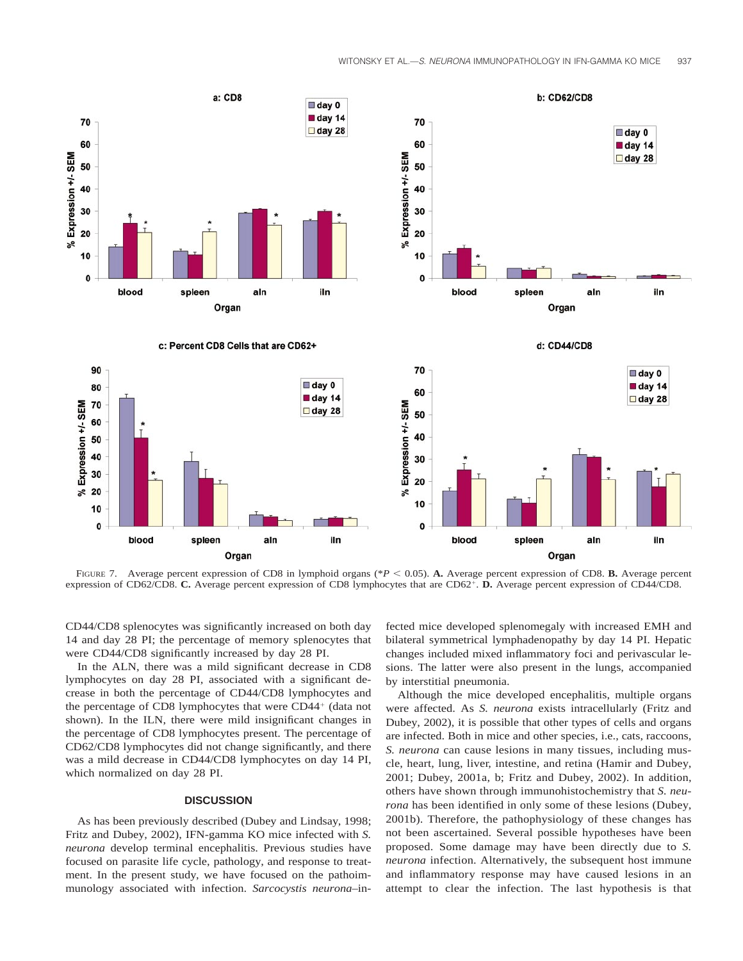

FIGURE 7. Average percent expression of CD8 in lymphoid organs ( $*P < 0.05$ ). **A.** Average percent expression of CD8. **B.** Average percent expression of CD62/CD8. C. Average percent expression of CD8 lymphocytes that are CD62<sup>+</sup>. D. Average percent expression of CD44/CD8.

CD44/CD8 splenocytes was significantly increased on both day 14 and day 28 PI; the percentage of memory splenocytes that were CD44/CD8 significantly increased by day 28 PI.

In the ALN, there was a mild significant decrease in CD8 lymphocytes on day 28 PI, associated with a significant decrease in both the percentage of CD44/CD8 lymphocytes and the percentage of CD8 lymphocytes that were  $CD44<sup>+</sup>$  (data not shown). In the ILN, there were mild insignificant changes in the percentage of CD8 lymphocytes present. The percentage of CD62/CD8 lymphocytes did not change significantly, and there was a mild decrease in CD44/CD8 lymphocytes on day 14 PI, which normalized on day 28 PI.

## **DISCUSSION**

As has been previously described (Dubey and Lindsay, 1998; Fritz and Dubey, 2002), IFN-gamma KO mice infected with *S. neurona* develop terminal encephalitis. Previous studies have focused on parasite life cycle, pathology, and response to treatment. In the present study, we have focused on the pathoimmunology associated with infection. *Sarcocystis neurona*–infected mice developed splenomegaly with increased EMH and bilateral symmetrical lymphadenopathy by day 14 PI. Hepatic changes included mixed inflammatory foci and perivascular lesions. The latter were also present in the lungs, accompanied by interstitial pneumonia.

Although the mice developed encephalitis, multiple organs were affected. As *S. neurona* exists intracellularly (Fritz and Dubey, 2002), it is possible that other types of cells and organs are infected. Both in mice and other species, i.e., cats, raccoons, *S. neurona* can cause lesions in many tissues, including muscle, heart, lung, liver, intestine, and retina (Hamir and Dubey, 2001; Dubey, 2001a, b; Fritz and Dubey, 2002). In addition, others have shown through immunohistochemistry that *S. neurona* has been identified in only some of these lesions (Dubey, 2001b). Therefore, the pathophysiology of these changes has not been ascertained. Several possible hypotheses have been proposed. Some damage may have been directly due to *S. neurona* infection. Alternatively, the subsequent host immune and inflammatory response may have caused lesions in an attempt to clear the infection. The last hypothesis is that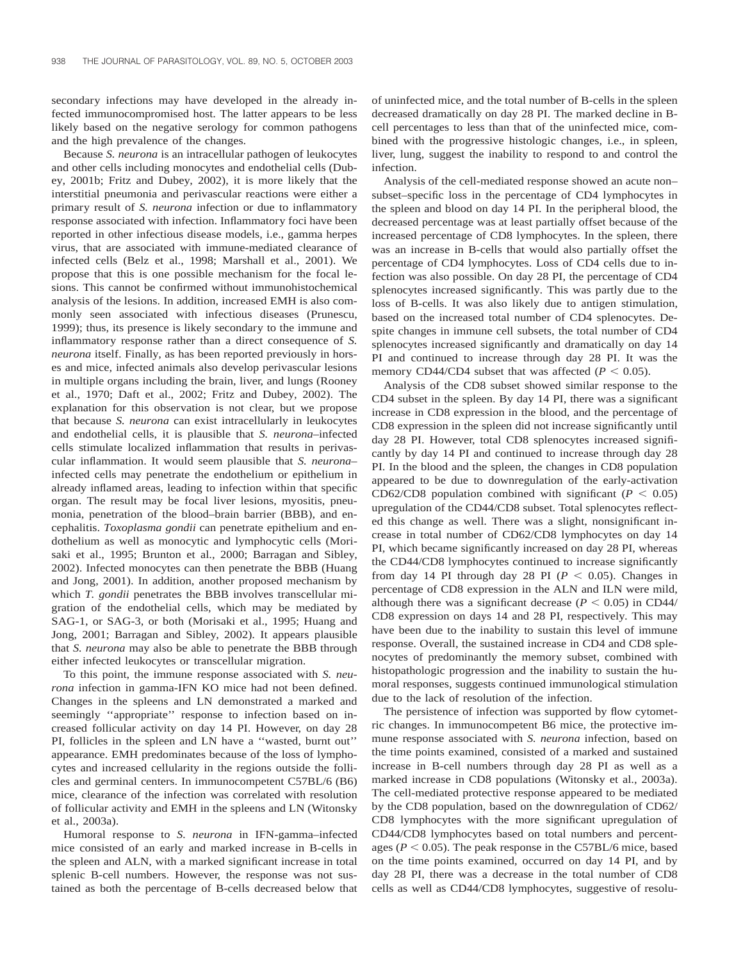secondary infections may have developed in the already infected immunocompromised host. The latter appears to be less likely based on the negative serology for common pathogens and the high prevalence of the changes.

Because *S. neurona* is an intracellular pathogen of leukocytes and other cells including monocytes and endothelial cells (Dubey, 2001b; Fritz and Dubey, 2002), it is more likely that the interstitial pneumonia and perivascular reactions were either a primary result of *S. neurona* infection or due to inflammatory response associated with infection. Inflammatory foci have been reported in other infectious disease models, i.e., gamma herpes virus, that are associated with immune-mediated clearance of infected cells (Belz et al., 1998; Marshall et al., 2001). We propose that this is one possible mechanism for the focal lesions. This cannot be confirmed without immunohistochemical analysis of the lesions. In addition, increased EMH is also commonly seen associated with infectious diseases (Prunescu, 1999); thus, its presence is likely secondary to the immune and inflammatory response rather than a direct consequence of *S. neurona* itself. Finally, as has been reported previously in horses and mice, infected animals also develop perivascular lesions in multiple organs including the brain, liver, and lungs (Rooney et al., 1970; Daft et al., 2002; Fritz and Dubey, 2002). The explanation for this observation is not clear, but we propose that because *S. neurona* can exist intracellularly in leukocytes and endothelial cells, it is plausible that *S. neurona*–infected cells stimulate localized inflammation that results in perivascular inflammation. It would seem plausible that *S. neurona*– infected cells may penetrate the endothelium or epithelium in already inflamed areas, leading to infection within that specific organ. The result may be focal liver lesions, myositis, pneumonia, penetration of the blood–brain barrier (BBB), and encephalitis. *Toxoplasma gondii* can penetrate epithelium and endothelium as well as monocytic and lymphocytic cells (Morisaki et al., 1995; Brunton et al., 2000; Barragan and Sibley, 2002). Infected monocytes can then penetrate the BBB (Huang and Jong, 2001). In addition, another proposed mechanism by which *T. gondii* penetrates the BBB involves transcellular migration of the endothelial cells, which may be mediated by SAG-1, or SAG-3, or both (Morisaki et al., 1995; Huang and Jong, 2001; Barragan and Sibley, 2002). It appears plausible that *S. neurona* may also be able to penetrate the BBB through either infected leukocytes or transcellular migration.

To this point, the immune response associated with *S. neurona* infection in gamma-IFN KO mice had not been defined. Changes in the spleens and LN demonstrated a marked and seemingly "appropriate" response to infection based on increased follicular activity on day 14 PI. However, on day 28 PI, follicles in the spleen and LN have a ''wasted, burnt out'' appearance. EMH predominates because of the loss of lymphocytes and increased cellularity in the regions outside the follicles and germinal centers. In immunocompetent C57BL/6 (B6) mice, clearance of the infection was correlated with resolution of follicular activity and EMH in the spleens and LN (Witonsky et al., 2003a).

Humoral response to *S. neurona* in IFN-gamma–infected mice consisted of an early and marked increase in B-cells in the spleen and ALN, with a marked significant increase in total splenic B-cell numbers. However, the response was not sustained as both the percentage of B-cells decreased below that of uninfected mice, and the total number of B-cells in the spleen decreased dramatically on day 28 PI. The marked decline in Bcell percentages to less than that of the uninfected mice, combined with the progressive histologic changes, i.e., in spleen, liver, lung, suggest the inability to respond to and control the infection.

Analysis of the cell-mediated response showed an acute non– subset–specific loss in the percentage of CD4 lymphocytes in the spleen and blood on day 14 PI. In the peripheral blood, the decreased percentage was at least partially offset because of the increased percentage of CD8 lymphocytes. In the spleen, there was an increase in B-cells that would also partially offset the percentage of CD4 lymphocytes. Loss of CD4 cells due to infection was also possible. On day 28 PI, the percentage of CD4 splenocytes increased significantly. This was partly due to the loss of B-cells. It was also likely due to antigen stimulation, based on the increased total number of CD4 splenocytes. Despite changes in immune cell subsets, the total number of CD4 splenocytes increased significantly and dramatically on day 14 PI and continued to increase through day 28 PI. It was the memory CD44/CD4 subset that was affected  $(P < 0.05)$ .

Analysis of the CD8 subset showed similar response to the CD4 subset in the spleen. By day 14 PI, there was a significant increase in CD8 expression in the blood, and the percentage of CD8 expression in the spleen did not increase significantly until day 28 PI. However, total CD8 splenocytes increased significantly by day 14 PI and continued to increase through day 28 PI. In the blood and the spleen, the changes in CD8 population appeared to be due to downregulation of the early-activation CD62/CD8 population combined with significant ( $P < 0.05$ ) upregulation of the CD44/CD8 subset. Total splenocytes reflected this change as well. There was a slight, nonsignificant increase in total number of CD62/CD8 lymphocytes on day 14 PI, which became significantly increased on day 28 PI, whereas the CD44/CD8 lymphocytes continued to increase significantly from day 14 PI through day 28 PI ( $P < 0.05$ ). Changes in percentage of CD8 expression in the ALN and ILN were mild, although there was a significant decrease ( $P < 0.05$ ) in CD44/ CD8 expression on days 14 and 28 PI, respectively. This may have been due to the inability to sustain this level of immune response. Overall, the sustained increase in CD4 and CD8 splenocytes of predominantly the memory subset, combined with histopathologic progression and the inability to sustain the humoral responses, suggests continued immunological stimulation due to the lack of resolution of the infection.

The persistence of infection was supported by flow cytometric changes. In immunocompetent B6 mice, the protective immune response associated with *S. neurona* infection, based on the time points examined, consisted of a marked and sustained increase in B-cell numbers through day 28 PI as well as a marked increase in CD8 populations (Witonsky et al., 2003a). The cell-mediated protective response appeared to be mediated by the CD8 population, based on the downregulation of CD62/ CD8 lymphocytes with the more significant upregulation of CD44/CD8 lymphocytes based on total numbers and percentages ( $P < 0.05$ ). The peak response in the C57BL/6 mice, based on the time points examined, occurred on day 14 PI, and by day 28 PI, there was a decrease in the total number of CD8 cells as well as CD44/CD8 lymphocytes, suggestive of resolu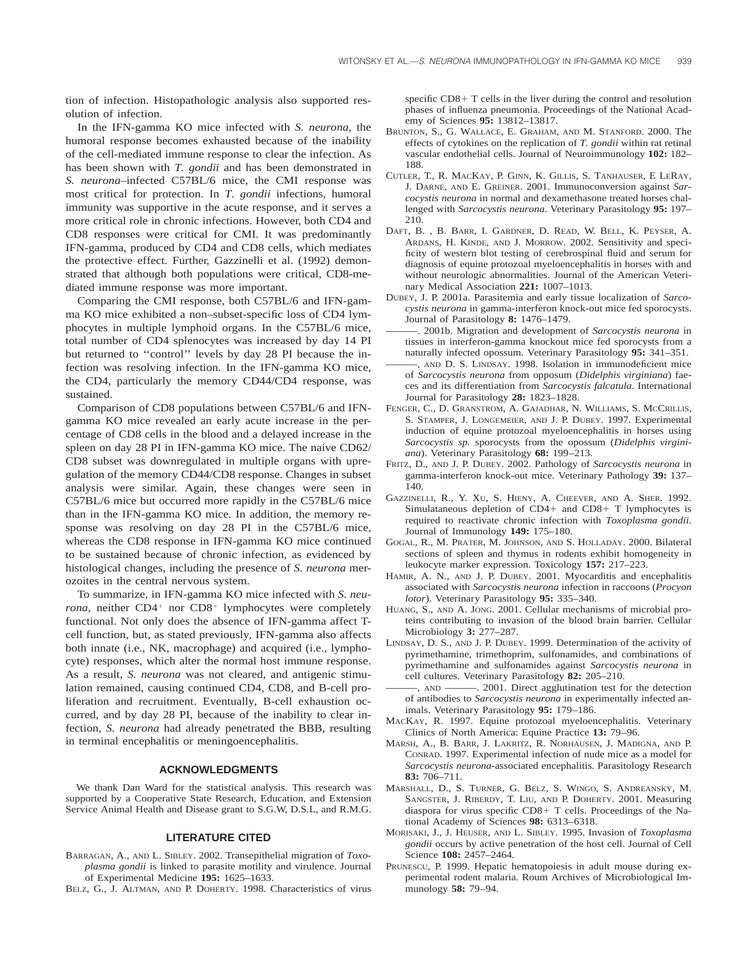tion of infection. Histopathologic analysis also supported resolution of infection.

In the IFN-gamma KO mice infected with *S. neurona*, the humoral response becomes exhausted because of the inability of the cell-mediated immune response to clear the infection. As has been shown with *T. gondii* and has been demonstrated in *S. neurona*–infected C57BL/6 mice, the CMI response was most critical for protection. In *T. gondii* infections, humoral immunity was supportive in the acute response, and it serves a more critical role in chronic infections. However, both CD4 and CD8 responses were critical for CMI. It was predominantly IFN-gamma, produced by CD4 and CD8 cells, which mediates the protective effect. Further, Gazzinelli et al. (1992) demonstrated that although both populations were critical, CD8-mediated immune response was more important.

Comparing the CMI response, both C57BL/6 and IFN-gamma KO mice exhibited a non–subset-specific loss of CD4 lymphocytes in multiple lymphoid organs. In the C57BL/6 mice, total number of CD4 splenocytes was increased by day 14 PI but returned to ''control'' levels by day 28 PI because the infection was resolving infection. In the IFN-gamma KO mice, the CD4, particularly the memory CD44/CD4 response, was sustained.

Comparison of CD8 populations between C57BL/6 and IFNgamma KO mice revealed an early acute increase in the percentage of CD8 cells in the blood and a delayed increase in the spleen on day 28 PI in IFN-gamma KO mice. The naive CD62/ CD8 subset was downregulated in multiple organs with upregulation of the memory CD44/CD8 response. Changes in subset analysis were similar. Again, these changes were seen in C57BL/6 mice but occurred more rapidly in the C57BL/6 mice than in the IFN-gamma KO mice. In addition, the memory response was resolving on day 28 PI in the C57BL/6 mice, whereas the CD8 response in IFN-gamma KO mice continued to be sustained because of chronic infection, as evidenced by histological changes, including the presence of *S. neurona* merozoites in the central nervous system.

To summarize, in IFN-gamma KO mice infected with *S. neurona*, neither CD4<sup>+</sup> nor CD8<sup>+</sup> lymphocytes were completely functional. Not only does the absence of IFN-gamma affect Tcell function, but, as stated previously, IFN-gamma also affects both innate (i.e., NK, macrophage) and acquired (i.e., lymphocyte) responses, which alter the normal host immune response. As a result, *S. neurona* was not cleared, and antigenic stimulation remained, causing continued CD4, CD8, and B-cell proliferation and recruitment. Eventually, B-cell exhaustion occurred, and by day 28 PI, because of the inability to clear infection, *S. neurona* had already penetrated the BBB, resulting in terminal encephalitis or meningoencephalitis.

## **ACKNOWLEDGMENTS**

We thank Dan Ward for the statistical analysis. This research was supported by a Cooperative State Research, Education, and Extension Service Animal Health and Disease grant to S.G.W, D.S.L, and R.M.G.

#### **LITERATURE CITED**

- BARRAGAN, A., AND L. SIBLEY. 2002. Transepithelial migration of *Toxoplasma gondii* is linked to parasite motility and virulence. Journal of Experimental Medicine **195:** 1625–1633.
- BELZ, G., J. ALTMAN, AND P. DOHERTY. 1998. Characteristics of virus

specific  $CD8+T$  cells in the liver during the control and resolution phases of influenza pneumonia. Proceedings of the National Academy of Sciences **95:** 13812–13817.

- BRUNTON, S., G. WALLACE, E. GRAHAM, AND M. STANFORD. 2000. The effects of cytokines on the replication of *T. gondii* within rat retinal vascular endothelial cells. Journal of Neuroimmunology **102:** 182– 188.
- CUTLER, T., R. MACKAY, P. GINN, K. GILLIS, S. TANHAUSER, E LERAY, J. DARNE, AND E. GREINER. 2001. Immunoconversion against *Sarcocystis neurona* in normal and dexamethasone treated horses challenged with *Sarcocystis neurona*. Veterinary Parasitology **95:** 197– 210.
- DAFT, B. , B. BARR, I. GARDNER, D. READ, W. BELL, K. PEYSER, A. ARDANS, H. KINDE, AND J. MORROW. 2002. Sensitivity and specificity of western blot testing of cerebrospinal fluid and serum for diagnosis of equine protozoal myeloencephalitis in horses with and without neurologic abnormalities. Journal of the American Veterinary Medical Association **221:** 1007–1013.
- DUBEY, J. P. 2001a. Parasitemia and early tissue localization of *Sarcocystis neurona* in gamma-interferon knock-out mice fed sporocysts. Journal of Parasitology **8:** 1476–1479.
- ———. 2001b. Migration and development of *Sarcocystis neurona* in tissues in interferon-gamma knockout mice fed sporocysts from a naturally infected opossum. Veterinary Parasitology **95:** 341–351.
- ———, AND D. S. LINDSAY. 1998. Isolation in immunodeficient mice of *Sarcocystis neurona* from opposum (*Didelphis virginiana*) faeces and its differentiation from *Sarcocystis falcatula*. International Journal for Parasitology **28:** 1823–1828.
- FENGER, C., D. GRANSTROM, A. GAJADHAR, N. WILLIAMS, S. MCCRILLIS, S. STAMPER, J. LONGEMEIER, AND J. P. DUBEY. 1997. Experimental induction of equine protozoal myeloencephalitis in horses using *Sarcocystis sp.* sporocysts from the opossum (*Didelphis virginiana*). Veterinary Parasitology **68:** 199–213.
- FRITZ, D., AND J. P. DUBEY. 2002. Pathology of *Sarcocystis neurona* in gamma-interferon knock-out mice. Veterinary Pathology **39:** 137– 140.
- GAZZINELLI, R., Y. XU, S. HIENY, A. CHEEVER, AND A. SHER. 1992. Simulataneous depletion of  $CD4+$  and  $CD8+$  T lymphocytes is required to reactivate chronic infection with *Toxoplasma gondii*. Journal of Immunology **149:** 175–180.
- GOGAL, R., M. PRATER, M. JOHNSON, AND S. HOLLADAY. 2000. Bilateral sections of spleen and thymus in rodents exhibit homogeneity in leukocyte marker expression. Toxicology **157:** 217–223.
- HAMIR, A. N., AND J. P. DUBEY. 2001. Myocarditis and encephalitis associated with *Sarcocystis neurona* infection in raccoons (*Procyon lotor*). Veterinary Parasitology **95:** 335–340.
- HUANG, S., AND A. JONG. 2001. Cellular mechanisms of microbial proteins contributing to invasion of the blood brain barrier. Cellular Microbiology **3:** 277–287.
- LINDSAY, D. S., AND J. P. DUBEY. 1999. Determination of the activity of pyrimethamine, trimethoprim, sulfonamides, and combinations of pyrimethamine and sulfonamides against *Sarcocystis neurona* in cell cultures. Veterinary Parasitology **82:** 205–210.
- ———, AND ———. 2001. Direct agglutination test for the detection of antibodies to *Sarcocystis neurona* in experimentally infected animals. Veterinary Parasitology **95:** 179–186.
- MACKAY, R. 1997. Equine protozoal myeloencephalitis. Veterinary Clinics of North America: Equine Practice **13:** 79–96.
- MARSH, A., B. BARR, J. LAKRITZ, R. NORHAUSEN, J. MADIGNA, AND P. CONRAD. 1997. Experimental infection of nude mice as a model for *Sarcocystis neurona*-associated encephalitis. Parasitology Research **83:** 706–711.
- MARSHALL, D., S. TURNER, G. BELZ, S. WINGO, S. ANDREANSKY, M. SANGSTER, J. RIBERDY, T. LIU, AND P. DOHERTY. 2001. Measuring diaspora for virus specific  $CD8+T$  cells. Proceedings of the National Academy of Sciences **98:** 6313–6318.
- MORISAKI, J., J. HEUSER, AND L. SIBLEY. 1995. Invasion of *Toxoplasma gondii* occurs by active penetration of the host cell. Journal of Cell Science **108:** 2457–2464.
- PRUNESCU, P. 1999. Hepatic hematopoiesis in adult mouse during experimental rodent malaria. Roum Archives of Microbiological Immunology **58:** 79–94.